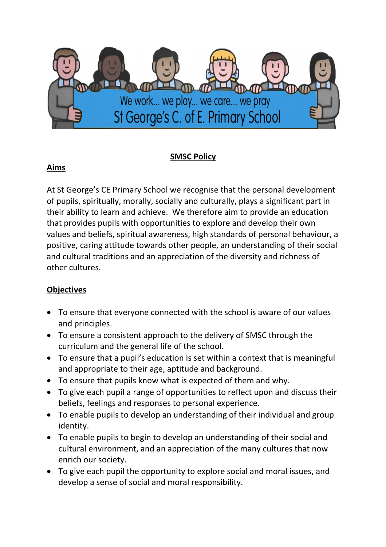

## SMSC Policy

### Aims

At St George's CE Primary School we recognise that the personal development of pupils, spiritually, morally, socially and culturally, plays a significant part in their ability to learn and achieve. We therefore aim to provide an education that provides pupils with opportunities to explore and develop their own values and beliefs, spiritual awareness, high standards of personal behaviour, a positive, caring attitude towards other people, an understanding of their social and cultural traditions and an appreciation of the diversity and richness of other cultures.

### **Objectives**

- To ensure that everyone connected with the school is aware of our values and principles.
- To ensure a consistent approach to the delivery of SMSC through the curriculum and the general life of the school.
- To ensure that a pupil's education is set within a context that is meaningful and appropriate to their age, aptitude and background.
- To ensure that pupils know what is expected of them and why.
- To give each pupil a range of opportunities to reflect upon and discuss their beliefs, feelings and responses to personal experience.
- To enable pupils to develop an understanding of their individual and group identity.
- To enable pupils to begin to develop an understanding of their social and cultural environment, and an appreciation of the many cultures that now enrich our society.
- To give each pupil the opportunity to explore social and moral issues, and develop a sense of social and moral responsibility.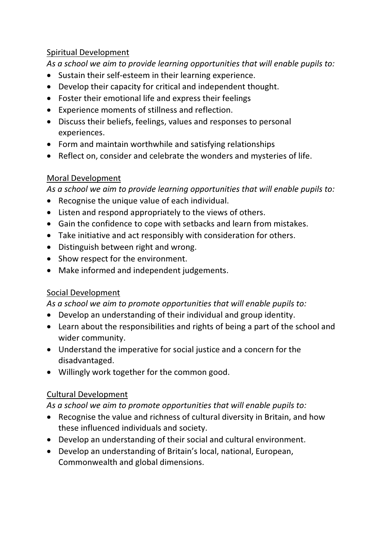#### Spiritual Development

As a school we aim to provide learning opportunities that will enable pupils to:

- Sustain their self-esteem in their learning experience.
- Develop their capacity for critical and independent thought.
- Foster their emotional life and express their feelings
- Experience moments of stillness and reflection.
- Discuss their beliefs, feelings, values and responses to personal experiences.
- Form and maintain worthwhile and satisfying relationships
- Reflect on, consider and celebrate the wonders and mysteries of life.

## Moral Development

As a school we aim to provide learning opportunities that will enable pupils to:

- Recognise the unique value of each individual.
- Listen and respond appropriately to the views of others.
- Gain the confidence to cope with setbacks and learn from mistakes.
- Take initiative and act responsibly with consideration for others.
- Distinguish between right and wrong.
- Show respect for the environment.
- Make informed and independent judgements.

# Social Development

As a school we aim to promote opportunities that will enable pupils to:

- Develop an understanding of their individual and group identity.
- Learn about the responsibilities and rights of being a part of the school and wider community.
- Understand the imperative for social justice and a concern for the disadvantaged.
- Willingly work together for the common good.

# Cultural Development

### As a school we aim to promote opportunities that will enable pupils to:

- Recognise the value and richness of cultural diversity in Britain, and how these influenced individuals and society.
- Develop an understanding of their social and cultural environment.
- Develop an understanding of Britain's local, national, European, Commonwealth and global dimensions.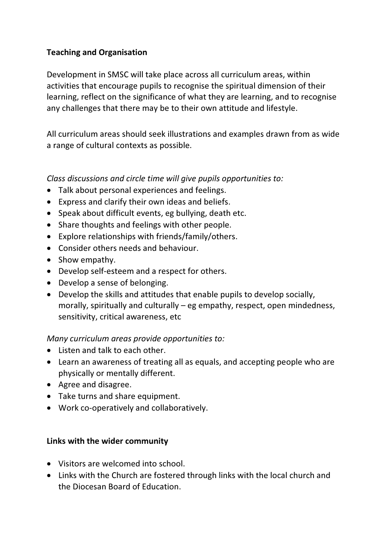### Teaching and Organisation

Development in SMSC will take place across all curriculum areas, within activities that encourage pupils to recognise the spiritual dimension of their learning, reflect on the significance of what they are learning, and to recognise any challenges that there may be to their own attitude and lifestyle.

All curriculum areas should seek illustrations and examples drawn from as wide a range of cultural contexts as possible.

#### Class discussions and circle time will give pupils opportunities to:

- Talk about personal experiences and feelings.
- Express and clarify their own ideas and beliefs.
- Speak about difficult events, eg bullying, death etc.
- Share thoughts and feelings with other people.
- Explore relationships with friends/family/others.
- Consider others needs and behaviour.
- Show empathy.
- Develop self-esteem and a respect for others.
- Develop a sense of belonging.
- Develop the skills and attitudes that enable pupils to develop socially, morally, spiritually and culturally – eg empathy, respect, open mindedness, sensitivity, critical awareness, etc

#### Many curriculum areas provide opportunities to:

- Listen and talk to each other.
- Learn an awareness of treating all as equals, and accepting people who are physically or mentally different.
- Agree and disagree.
- Take turns and share equipment.
- Work co-operatively and collaboratively.

#### Links with the wider community

- Visitors are welcomed into school.
- Links with the Church are fostered through links with the local church and the Diocesan Board of Education.